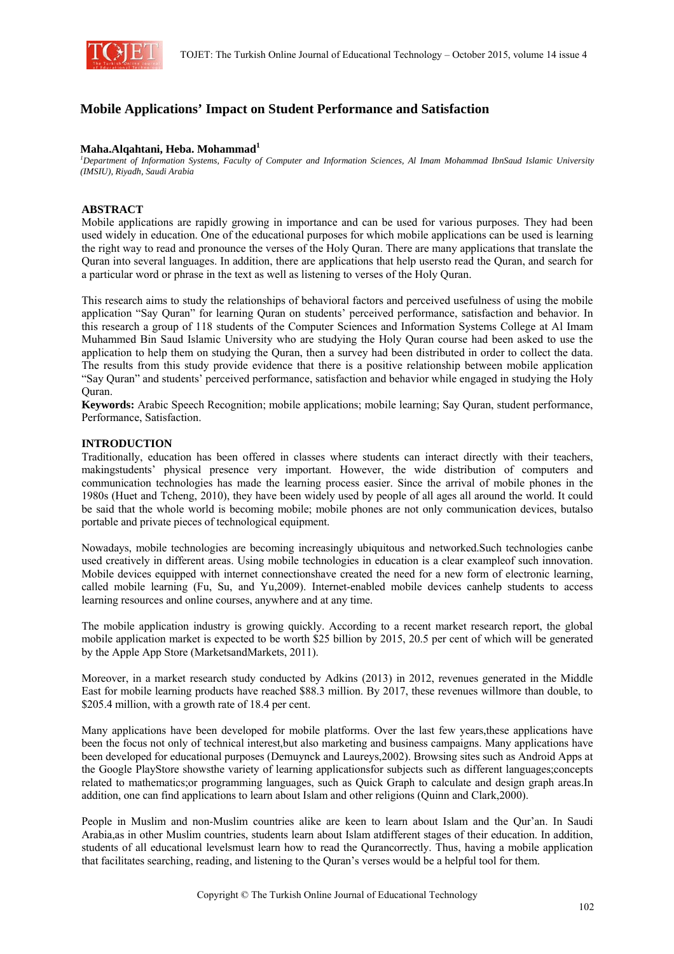

# **Mobile Applications' Impact on Student Performance and Satisfaction**

#### Maha.Alqahtani, Heba. Mohammad<sup>1</sup>

*1 Department of Information Systems, Faculty of Computer and Information Sciences, Al Imam Mohammad IbnSaud Islamic University (IMSIU), Riyadh, Saudi Arabia* 

#### **ABSTRACT**

Mobile applications are rapidly growing in importance and can be used for various purposes. They had been used widely in education. One of the educational purposes for which mobile applications can be used is learning the right way to read and pronounce the verses of the Holy Quran. There are many applications that translate the Quran into several languages. In addition, there are applications that help usersto read the Quran, and search for a particular word or phrase in the text as well as listening to verses of the Holy Quran.

This research aims to study the relationships of behavioral factors and perceived usefulness of using the mobile application "Say Quran" for learning Quran on students' perceived performance, satisfaction and behavior. In this research a group of 118 students of the Computer Sciences and Information Systems College at Al Imam Muhammed Bin Saud Islamic University who are studying the Holy Quran course had been asked to use the application to help them on studying the Quran, then a survey had been distributed in order to collect the data. The results from this study provide evidence that there is a positive relationship between mobile application "Say Quran" and students' perceived performance, satisfaction and behavior while engaged in studying the Holy Quran.

**Keywords:** Arabic Speech Recognition; mobile applications; mobile learning; Say Quran, student performance, Performance, Satisfaction.

#### **INTRODUCTION**

Traditionally, education has been offered in classes where students can interact directly with their teachers, makingstudents' physical presence very important. However, the wide distribution of computers and communication technologies has made the learning process easier. Since the arrival of mobile phones in the 1980s (Huet and Tcheng, 2010), they have been widely used by people of all ages all around the world. It could be said that the whole world is becoming mobile; mobile phones are not only communication devices, butalso portable and private pieces of technological equipment.

Nowadays, mobile technologies are becoming increasingly ubiquitous and networked.Such technologies canbe used creatively in different areas. Using mobile technologies in education is a clear exampleof such innovation. Mobile devices equipped with internet connectionshave created the need for a new form of electronic learning, called mobile learning (Fu, Su, and Yu,2009). Internet-enabled mobile devices canhelp students to access learning resources and online courses, anywhere and at any time.

The mobile application industry is growing quickly. According to a recent market research report, the global mobile application market is expected to be worth \$25 billion by 2015, 20.5 per cent of which will be generated by the Apple App Store (MarketsandMarkets, 2011).

Moreover, in a market research study conducted by Adkins (2013) in 2012, revenues generated in the Middle East for mobile learning products have reached \$88.3 million. By 2017, these revenues willmore than double, to \$205.4 million, with a growth rate of 18.4 per cent.

Many applications have been developed for mobile platforms. Over the last few years,these applications have been the focus not only of technical interest,but also marketing and business campaigns. Many applications have been developed for educational purposes (Demuynck and Laureys,2002). Browsing sites such as Android Apps at the Google PlayStore showsthe variety of learning applicationsfor subjects such as different languages;concepts related to mathematics;or programming languages, such as Quick Graph to calculate and design graph areas.In addition, one can find applications to learn about Islam and other religions (Quinn and Clark,2000).

People in Muslim and non-Muslim countries alike are keen to learn about Islam and the Qur'an. In Saudi Arabia,as in other Muslim countries, students learn about Islam atdifferent stages of their education. In addition, students of all educational levelsmust learn how to read the Qurancorrectly. Thus, having a mobile application that facilitates searching, reading, and listening to the Quran's verses would be a helpful tool for them.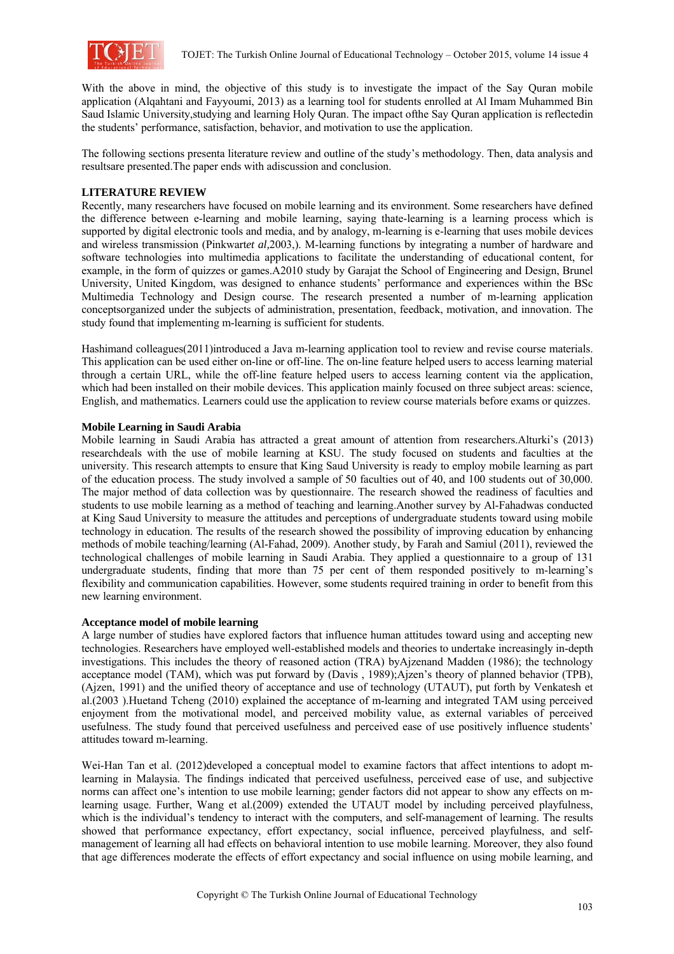

With the above in mind, the objective of this study is to investigate the impact of the Say Quran mobile application (Alqahtani and Fayyoumi, 2013) as a learning tool for students enrolled at Al Imam Muhammed Bin Saud Islamic University,studying and learning Holy Quran. The impact ofthe Say Quran application is reflectedin the students' performance, satisfaction, behavior, and motivation to use the application.

The following sections presenta literature review and outline of the study's methodology. Then, data analysis and resultsare presented.The paper ends with adiscussion and conclusion.

# **LITERATURE REVIEW**

Recently, many researchers have focused on mobile learning and its environment. Some researchers have defined the difference between e-learning and mobile learning, saying thate-learning is a learning process which is supported by digital electronic tools and media, and by analogy, m-learning is e-learning that uses mobile devices and wireless transmission (Pinkwart*et al,*2003,). M-learning functions by integrating a number of hardware and software technologies into multimedia applications to facilitate the understanding of educational content, for example, in the form of quizzes or games.A2010 study by Garajat the School of Engineering and Design, Brunel University, United Kingdom, was designed to enhance students' performance and experiences within the BSc Multimedia Technology and Design course. The research presented a number of m-learning application conceptsorganized under the subjects of administration, presentation, feedback, motivation, and innovation. The study found that implementing m-learning is sufficient for students.

Hashimand colleagues(2011)introduced a Java m-learning application tool to review and revise course materials. This application can be used either on-line or off-line. The on-line feature helped users to access learning material through a certain URL, while the off-line feature helped users to access learning content via the application, which had been installed on their mobile devices. This application mainly focused on three subject areas: science, English, and mathematics. Learners could use the application to review course materials before exams or quizzes.

## **Mobile Learning in Saudi Arabia**

Mobile learning in Saudi Arabia has attracted a great amount of attention from researchers.Alturki's (2013) researchdeals with the use of mobile learning at KSU. The study focused on students and faculties at the university. This research attempts to ensure that King Saud University is ready to employ mobile learning as part of the education process. The study involved a sample of 50 faculties out of 40, and 100 students out of 30,000. The major method of data collection was by questionnaire. The research showed the readiness of faculties and students to use mobile learning as a method of teaching and learning.Another survey by Al-Fahadwas conducted at King Saud University to measure the attitudes and perceptions of undergraduate students toward using mobile technology in education. The results of the research showed the possibility of improving education by enhancing methods of mobile teaching/learning (Al-Fahad, 2009). Another study, by Farah and Samiul (2011), reviewed the technological challenges of mobile learning in Saudi Arabia. They applied a questionnaire to a group of 131 undergraduate students, finding that more than 75 per cent of them responded positively to m-learning's flexibility and communication capabilities. However, some students required training in order to benefit from this new learning environment.

#### **Acceptance model of mobile learning**

A large number of studies have explored factors that influence human attitudes toward using and accepting new technologies. Researchers have employed well-established models and theories to undertake increasingly in-depth investigations. This includes the theory of reasoned action (TRA) byAjzenand Madden (1986); the technology acceptance model (TAM), which was put forward by (Davis , 1989);Ajzen's theory of planned behavior (TPB), (Ajzen, 1991) and the unified theory of acceptance and use of technology (UTAUT), put forth by Venkatesh et al.(2003 ).Huetand Tcheng (2010) explained the acceptance of m-learning and integrated TAM using perceived enjoyment from the motivational model, and perceived mobility value, as external variables of perceived usefulness. The study found that perceived usefulness and perceived ease of use positively influence students' attitudes toward m-learning.

Wei-Han Tan et al. (2012)developed a conceptual model to examine factors that affect intentions to adopt mlearning in Malaysia. The findings indicated that perceived usefulness, perceived ease of use, and subjective norms can affect one's intention to use mobile learning; gender factors did not appear to show any effects on mlearning usage. Further, Wang et al.(2009) extended the UTAUT model by including perceived playfulness, which is the individual's tendency to interact with the computers, and self-management of learning. The results showed that performance expectancy, effort expectancy, social influence, perceived playfulness, and selfmanagement of learning all had effects on behavioral intention to use mobile learning. Moreover, they also found that age differences moderate the effects of effort expectancy and social influence on using mobile learning, and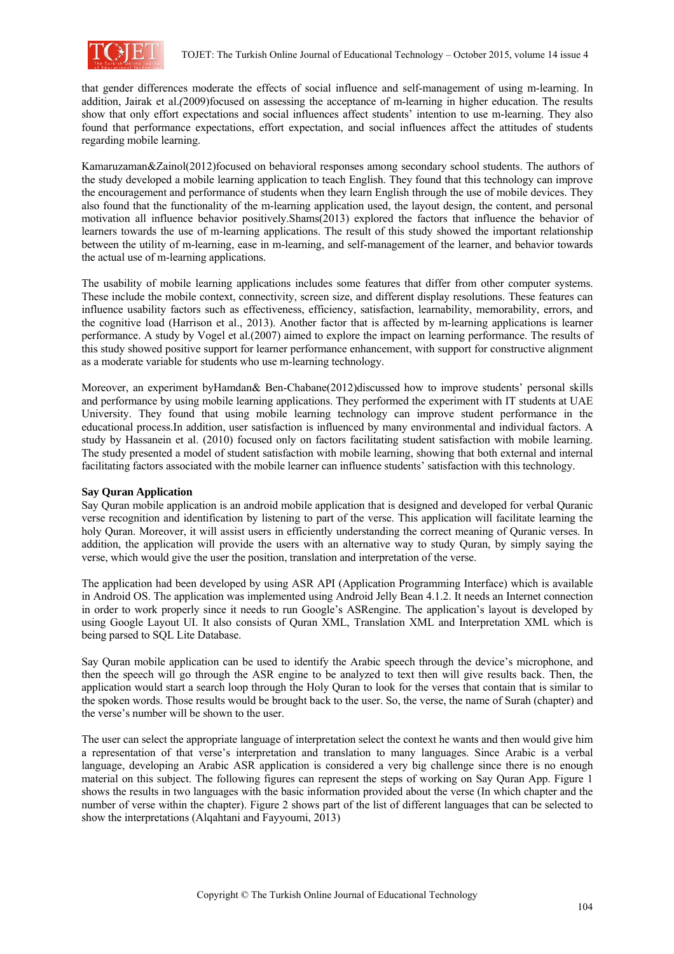

that gender differences moderate the effects of social influence and self-management of using m-learning. In addition, Jairak et al.*(*2009)focused on assessing the acceptance of m-learning in higher education. The results show that only effort expectations and social influences affect students' intention to use m-learning. They also found that performance expectations, effort expectation, and social influences affect the attitudes of students regarding mobile learning.

Kamaruzaman&Zainol(2012)focused on behavioral responses among secondary school students. The authors of the study developed a mobile learning application to teach English. They found that this technology can improve the encouragement and performance of students when they learn English through the use of mobile devices. They also found that the functionality of the m-learning application used, the layout design, the content, and personal motivation all influence behavior positively.Shams(2013) explored the factors that influence the behavior of learners towards the use of m-learning applications. The result of this study showed the important relationship between the utility of m-learning, ease in m-learning, and self-management of the learner, and behavior towards the actual use of m-learning applications.

The usability of mobile learning applications includes some features that differ from other computer systems. These include the mobile context, connectivity, screen size, and different display resolutions. These features can influence usability factors such as effectiveness, efficiency, satisfaction, learnability, memorability, errors, and the cognitive load (Harrison et al., 2013). Another factor that is affected by m-learning applications is learner performance. A study by Vogel et al.(2007) aimed to explore the impact on learning performance. The results of this study showed positive support for learner performance enhancement, with support for constructive alignment as a moderate variable for students who use m-learning technology.

Moreover, an experiment byHamdan& Ben-Chabane(2012)discussed how to improve students' personal skills and performance by using mobile learning applications. They performed the experiment with IT students at UAE University. They found that using mobile learning technology can improve student performance in the educational process.In addition, user satisfaction is influenced by many environmental and individual factors. A study by Hassanein et al. (2010) focused only on factors facilitating student satisfaction with mobile learning. The study presented a model of student satisfaction with mobile learning, showing that both external and internal facilitating factors associated with the mobile learner can influence students' satisfaction with this technology.

## **Say Quran Application**

Say Quran mobile application is an android mobile application that is designed and developed for verbal Quranic verse recognition and identification by listening to part of the verse. This application will facilitate learning the holy Quran. Moreover, it will assist users in efficiently understanding the correct meaning of Quranic verses. In addition, the application will provide the users with an alternative way to study Quran, by simply saying the verse, which would give the user the position, translation and interpretation of the verse.

The application had been developed by using ASR API (Application Programming Interface) which is available in Android OS. The application was implemented using Android Jelly Bean 4.1.2. It needs an Internet connection in order to work properly since it needs to run Google's ASRengine. The application's layout is developed by using Google Layout UI. It also consists of Quran XML, Translation XML and Interpretation XML which is being parsed to SQL Lite Database.

Say Quran mobile application can be used to identify the Arabic speech through the device's microphone, and then the speech will go through the ASR engine to be analyzed to text then will give results back. Then, the application would start a search loop through the Holy Quran to look for the verses that contain that is similar to the spoken words. Those results would be brought back to the user. So, the verse, the name of Surah (chapter) and the verse's number will be shown to the user.

The user can select the appropriate language of interpretation select the context he wants and then would give him a representation of that verse's interpretation and translation to many languages. Since Arabic is a verbal language, developing an Arabic ASR application is considered a very big challenge since there is no enough material on this subject. The following figures can represent the steps of working on Say Quran App. Figure 1 shows the results in two languages with the basic information provided about the verse (In which chapter and the number of verse within the chapter). Figure 2 shows part of the list of different languages that can be selected to show the interpretations (Alqahtani and Fayyoumi, 2013)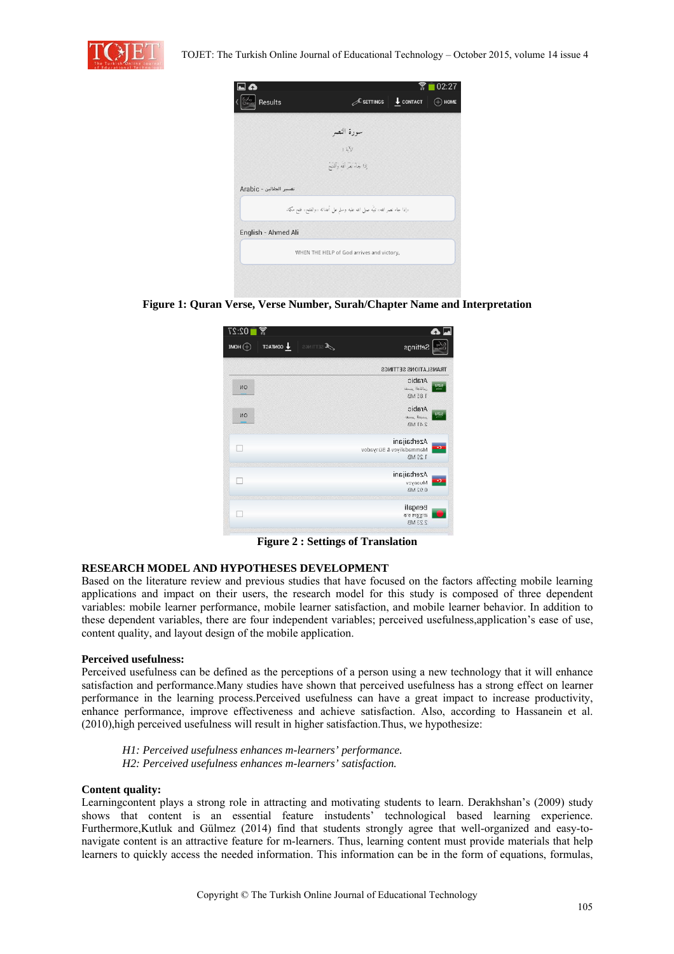



**Figure 1: Quran Verse, Verse Number, Surah/Chapter Name and Interpretation** 

| 02:27<br>ត្ត  |                                                             | امدا                                                    |
|---------------|-------------------------------------------------------------|---------------------------------------------------------|
| $\oplus$ HOME | TOATMOO <sup>1</sup><br>$\boldsymbol{\mathcal{F}}$ settings | Settings                                                |
|               |                                                             | <b>TRANSLATIONS SETTINGS</b>                            |
| ИО            |                                                             | Arabic<br>83.<br>تفسير الجلالين<br>185 MB               |
| ИО            |                                                             | Arabic<br><b>Lewis Karen</b><br>2 41 MB                 |
|               |                                                             | Azerbaijani<br>o.<br>Mammadaliyev & Bünyadov<br>1.29 MB |
|               |                                                             | Azerbaijani<br>$\cdot$<br>Musayev<br>0.92 MB            |
|               |                                                             | Bengali<br>উ.হ বুল হক<br>2 23 MB                        |

**Figure 2 : Settings of Translation** 

## **RESEARCH MODEL AND HYPOTHESES DEVELOPMENT**

Based on the literature review and previous studies that have focused on the factors affecting mobile learning applications and impact on their users, the research model for this study is composed of three dependent variables: mobile learner performance, mobile learner satisfaction, and mobile learner behavior. In addition to these dependent variables, there are four independent variables; perceived usefulness,application's ease of use, content quality, and layout design of the mobile application.

## **Perceived usefulness:**

Perceived usefulness can be defined as the perceptions of a person using a new technology that it will enhance satisfaction and performance.Many studies have shown that perceived usefulness has a strong effect on learner performance in the learning process.Perceived usefulness can have a great impact to increase productivity, enhance performance, improve effectiveness and achieve satisfaction. Also, according to Hassanein et al. (2010),high perceived usefulness will result in higher satisfaction.Thus, we hypothesize:

*H1: Perceived usefulness enhances m-learners' performance. H2: Perceived usefulness enhances m-learners' satisfaction.* 

#### **Content quality:**

Learningcontent plays a strong role in attracting and motivating students to learn. Derakhshan's (2009) study shows that content is an essential feature instudents' technological based learning experience. Furthermore,Kutluk and Gülmez (2014) find that students strongly agree that well-organized and easy-tonavigate content is an attractive feature for m-learners. Thus, learning content must provide materials that help learners to quickly access the needed information. This information can be in the form of equations, formulas,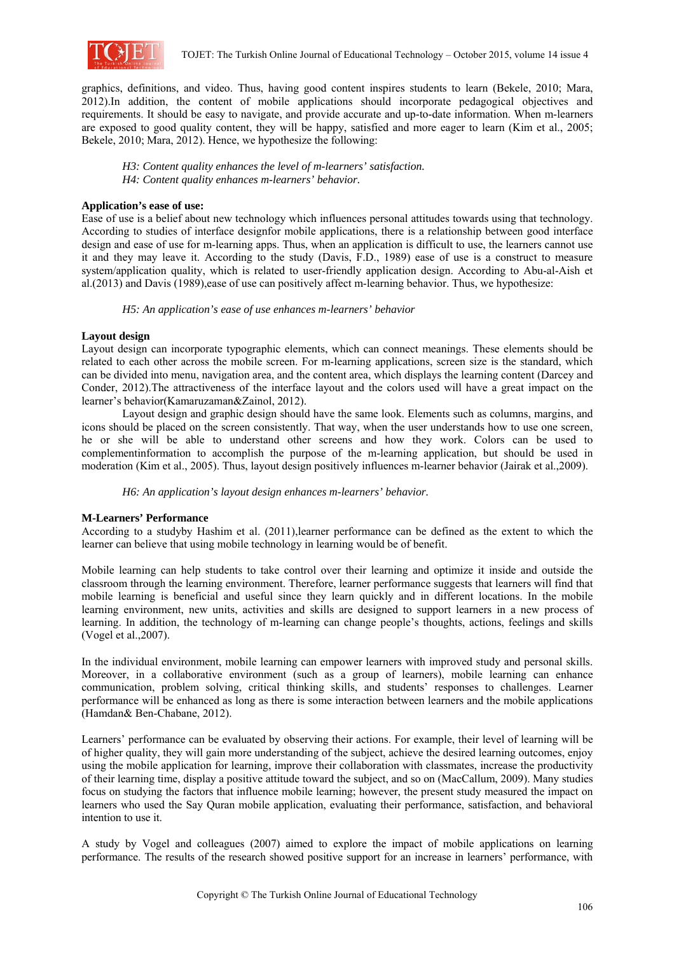

graphics, definitions, and video. Thus, having good content inspires students to learn (Bekele, 2010; Mara, 2012).In addition, the content of mobile applications should incorporate pedagogical objectives and requirements. It should be easy to navigate, and provide accurate and up-to-date information. When m-learners are exposed to good quality content, they will be happy, satisfied and more eager to learn (Kim et al., 2005; Bekele, 2010; Mara, 2012). Hence, we hypothesize the following:

*H3: Content quality enhances the level of m-learners' satisfaction. H4: Content quality enhances m-learners' behavior.* 

## **Application's ease of use:**

Ease of use is a belief about new technology which influences personal attitudes towards using that technology. According to studies of interface designfor mobile applications, there is a relationship between good interface design and ease of use for m-learning apps. Thus, when an application is difficult to use, the learners cannot use it and they may leave it. According to the study (Davis, F.D., 1989) ease of use is a construct to measure system/application quality, which is related to user-friendly application design. According to Abu-al-Aish et al.(2013) and Davis (1989),ease of use can positively affect m-learning behavior. Thus, we hypothesize:

*H5: An application's ease of use enhances m-learners' behavior*

# **Layout design**

Layout design can incorporate typographic elements, which can connect meanings. These elements should be related to each other across the mobile screen. For m-learning applications, screen size is the standard, which can be divided into menu, navigation area, and the content area, which displays the learning content (Darcey and Conder, 2012).The attractiveness of the interface layout and the colors used will have a great impact on the learner's behavior(Kamaruzaman&Zainol, 2012).

Layout design and graphic design should have the same look. Elements such as columns, margins, and icons should be placed on the screen consistently. That way, when the user understands how to use one screen, he or she will be able to understand other screens and how they work. Colors can be used to complementinformation to accomplish the purpose of the m-learning application, but should be used in moderation (Kim et al., 2005). Thus, layout design positively influences m-learner behavior (Jairak et al.,2009).

*H6: An application's layout design enhances m-learners' behavior.* 

## **M-Learners' Performance**

According to a studyby Hashim et al. (2011),learner performance can be defined as the extent to which the learner can believe that using mobile technology in learning would be of benefit.

Mobile learning can help students to take control over their learning and optimize it inside and outside the classroom through the learning environment. Therefore, learner performance suggests that learners will find that mobile learning is beneficial and useful since they learn quickly and in different locations. In the mobile learning environment, new units, activities and skills are designed to support learners in a new process of learning. In addition, the technology of m-learning can change people's thoughts, actions, feelings and skills (Vogel et al.,2007).

In the individual environment, mobile learning can empower learners with improved study and personal skills. Moreover, in a collaborative environment (such as a group of learners), mobile learning can enhance communication, problem solving, critical thinking skills, and students' responses to challenges. Learner performance will be enhanced as long as there is some interaction between learners and the mobile applications (Hamdan& Ben-Chabane, 2012).

Learners' performance can be evaluated by observing their actions. For example, their level of learning will be of higher quality, they will gain more understanding of the subject, achieve the desired learning outcomes, enjoy using the mobile application for learning, improve their collaboration with classmates, increase the productivity of their learning time, display a positive attitude toward the subject, and so on (MacCallum, 2009). Many studies focus on studying the factors that influence mobile learning; however, the present study measured the impact on learners who used the Say Quran mobile application, evaluating their performance, satisfaction, and behavioral intention to use it.

A study by Vogel and colleagues (2007) aimed to explore the impact of mobile applications on learning performance. The results of the research showed positive support for an increase in learners' performance, with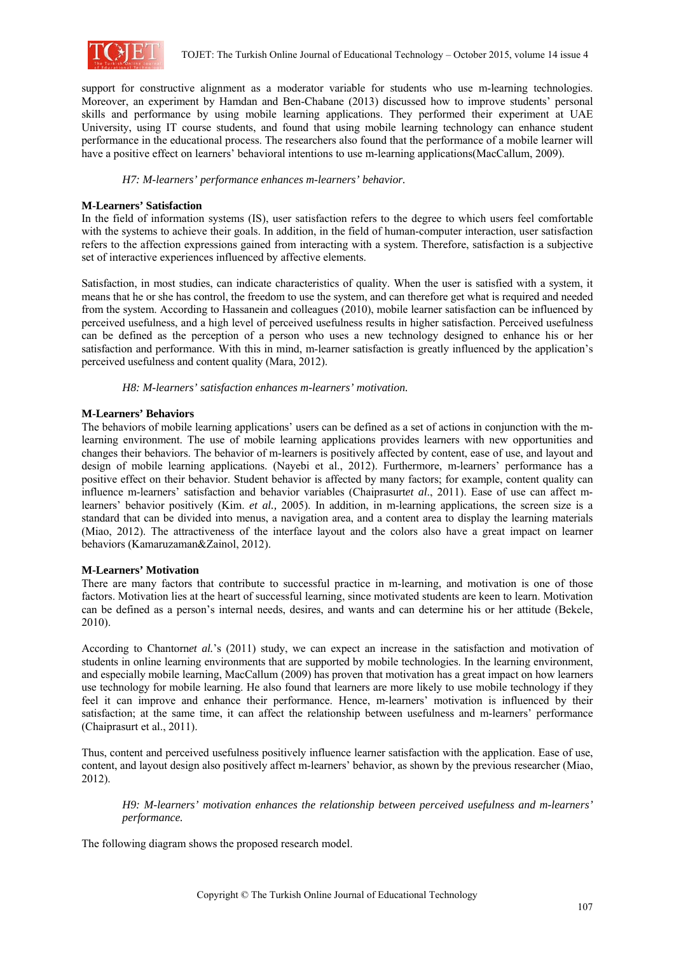

support for constructive alignment as a moderator variable for students who use m-learning technologies. Moreover, an experiment by Hamdan and Ben-Chabane (2013) discussed how to improve students' personal skills and performance by using mobile learning applications. They performed their experiment at UAE University, using IT course students, and found that using mobile learning technology can enhance student performance in the educational process. The researchers also found that the performance of a mobile learner will have a positive effect on learners' behavioral intentions to use m-learning applications(MacCallum, 2009).

# *H7: M-learners' performance enhances m-learners' behavior.*

# **M-Learners' Satisfaction**

In the field of information systems (IS), user satisfaction refers to the degree to which users feel comfortable with the systems to achieve their goals. In addition, in the field of human-computer interaction, user satisfaction refers to the affection expressions gained from interacting with a system. Therefore, satisfaction is a subjective set of interactive experiences influenced by affective elements.

Satisfaction, in most studies, can indicate characteristics of quality. When the user is satisfied with a system, it means that he or she has control, the freedom to use the system, and can therefore get what is required and needed from the system. According to Hassanein and colleagues (2010), mobile learner satisfaction can be influenced by perceived usefulness, and a high level of perceived usefulness results in higher satisfaction. Perceived usefulness can be defined as the perception of a person who uses a new technology designed to enhance his or her satisfaction and performance. With this in mind, m-learner satisfaction is greatly influenced by the application's perceived usefulness and content quality (Mara, 2012).

# *H8: M-learners' satisfaction enhances m-learners' motivation.*

# **M-Learners' Behaviors**

The behaviors of mobile learning applications' users can be defined as a set of actions in conjunction with the mlearning environment. The use of mobile learning applications provides learners with new opportunities and changes their behaviors. The behavior of m-learners is positively affected by content, ease of use, and layout and design of mobile learning applications. (Nayebi et al., 2012). Furthermore, m-learners' performance has a positive effect on their behavior. Student behavior is affected by many factors; for example, content quality can influence m-learners' satisfaction and behavior variables (Chaiprasurt*et al*., 2011). Ease of use can affect mlearners' behavior positively (Kim. *et al.,* 2005). In addition, in m-learning applications, the screen size is a standard that can be divided into menus, a navigation area, and a content area to display the learning materials (Miao, 2012). The attractiveness of the interface layout and the colors also have a great impact on learner behaviors (Kamaruzaman&Zainol, 2012).

## **M-Learners' Motivation**

There are many factors that contribute to successful practice in m-learning, and motivation is one of those factors. Motivation lies at the heart of successful learning, since motivated students are keen to learn. Motivation can be defined as a person's internal needs, desires, and wants and can determine his or her attitude (Bekele, 2010).

According to Chantorn*et al.*'s (2011) study, we can expect an increase in the satisfaction and motivation of students in online learning environments that are supported by mobile technologies. In the learning environment, and especially mobile learning, MacCallum (2009) has proven that motivation has a great impact on how learners use technology for mobile learning. He also found that learners are more likely to use mobile technology if they feel it can improve and enhance their performance. Hence, m-learners' motivation is influenced by their satisfaction; at the same time, it can affect the relationship between usefulness and m-learners' performance (Chaiprasurt et al., 2011).

Thus, content and perceived usefulness positively influence learner satisfaction with the application. Ease of use, content, and layout design also positively affect m-learners' behavior, as shown by the previous researcher (Miao, 2012).

*H9: M-learners' motivation enhances the relationship between perceived usefulness and m-learners' performance.*

The following diagram shows the proposed research model.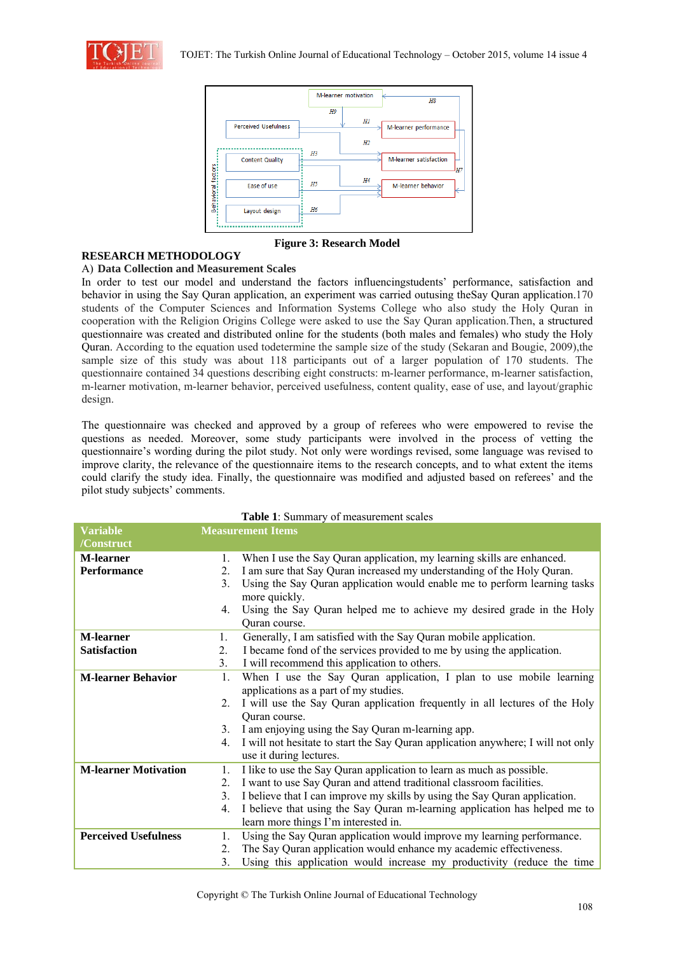



**Figure 3: Research Model**

# **RESEARCH METHODOLOGY**

# A) **Data Collection and Measurement Scales**

In order to test our model and understand the factors influencingstudents' performance, satisfaction and behavior in using the Say Quran application, an experiment was carried outusing theSay Quran application.170 students of the Computer Sciences and Information Systems College who also study the Holy Quran in cooperation with the Religion Origins College were asked to use the Say Quran application.Then, a structured questionnaire was created and distributed online for the students (both males and females) who study the Holy Quran. According to the equation used todetermine the sample size of the study (Sekaran and Bougie, 2009),the sample size of this study was about 118 participants out of a larger population of 170 students. The questionnaire contained 34 questions describing eight constructs: m-learner performance, m-learner satisfaction, m-learner motivation, m-learner behavior, perceived usefulness, content quality, ease of use, and layout/graphic design.

The questionnaire was checked and approved by a group of referees who were empowered to revise the questions as needed. Moreover, some study participants were involved in the process of vetting the questionnaire's wording during the pilot study. Not only were wordings revised, some language was revised to improve clarity, the relevance of the questionnaire items to the research concepts, and to what extent the items could clarify the study idea. Finally, the questionnaire was modified and adjusted based on referees' and the pilot study subjects' comments.

| <b>Table 1</b> : Summary 01 measurement scales |                          |                                                                                                              |  |  |
|------------------------------------------------|--------------------------|--------------------------------------------------------------------------------------------------------------|--|--|
| <b>Variable</b>                                | <b>Measurement Items</b> |                                                                                                              |  |  |
| /Construct                                     |                          |                                                                                                              |  |  |
| <b>M-learner</b>                               | $1_{-}$                  | When I use the Say Quran application, my learning skills are enhanced.                                       |  |  |
| <b>Performance</b>                             | $2_{1}$                  | I am sure that Say Quran increased my understanding of the Holy Quran.                                       |  |  |
|                                                | 3 <sub>1</sub>           | Using the Say Quran application would enable me to perform learning tasks<br>more quickly.                   |  |  |
|                                                | 4.                       | Using the Say Quran helped me to achieve my desired grade in the Holy<br>Quran course.                       |  |  |
| <b>M-learner</b>                               | 1.                       | Generally, I am satisfied with the Say Quran mobile application.                                             |  |  |
| <b>Satisfaction</b>                            | 2.                       | I became fond of the services provided to me by using the application.                                       |  |  |
|                                                | 3.                       | I will recommend this application to others.                                                                 |  |  |
| <b>M-learner Behavior</b>                      | 1.                       | When I use the Say Quran application, I plan to use mobile learning<br>applications as a part of my studies. |  |  |
|                                                | $2_{-}$                  | I will use the Say Quran application frequently in all lectures of the Holy                                  |  |  |
|                                                |                          | Quran course.                                                                                                |  |  |
|                                                | 3.                       | I am enjoying using the Say Quran m-learning app.                                                            |  |  |
|                                                | 4.                       | I will not hesitate to start the Say Quran application anywhere; I will not only                             |  |  |
|                                                |                          | use it during lectures.                                                                                      |  |  |
| <b>M-learner Motivation</b>                    | 1.                       | I like to use the Say Quran application to learn as much as possible.                                        |  |  |
|                                                | $2_{-}$                  | I want to use Say Quran and attend traditional classroom facilities.                                         |  |  |
|                                                | 3.                       | I believe that I can improve my skills by using the Say Quran application.                                   |  |  |
|                                                | 4.                       | I believe that using the Say Quran m-learning application has helped me to                                   |  |  |
|                                                |                          | learn more things I'm interested in.                                                                         |  |  |
| <b>Perceived Usefulness</b>                    | 1.                       | Using the Say Quran application would improve my learning performance.                                       |  |  |
|                                                | $2_{-}$                  | The Say Quran application would enhance my academic effectiveness.                                           |  |  |
|                                                | 3.                       | Using this application would increase my productivity (reduce the time                                       |  |  |

**Table 1**: Summary of measurement scales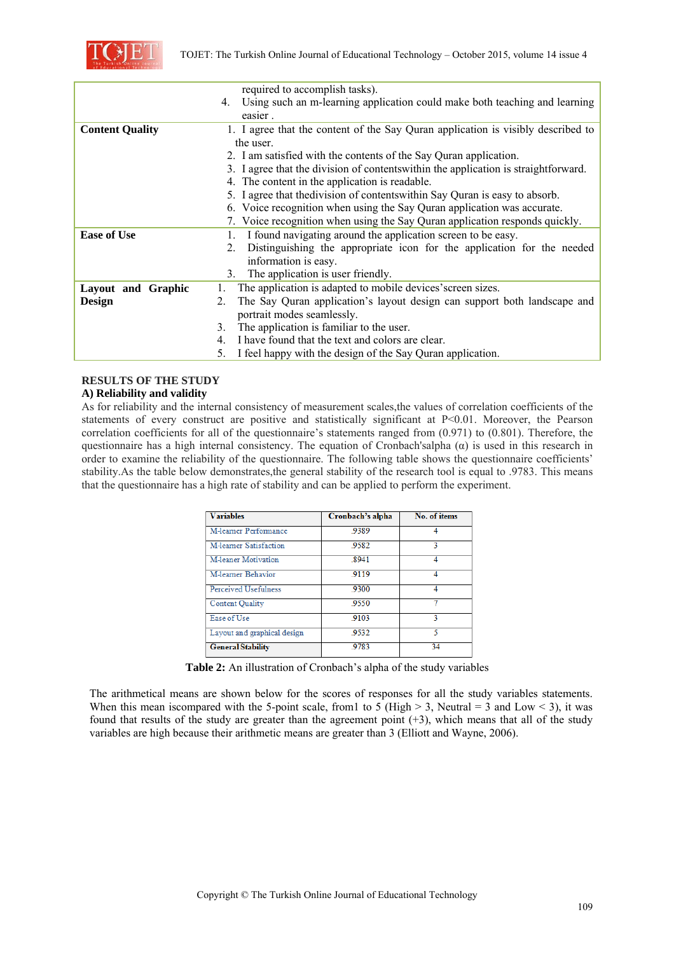

|                        | required to accomplish tasks).                                                      |  |  |  |
|------------------------|-------------------------------------------------------------------------------------|--|--|--|
|                        | Using such an m-learning application could make both teaching and learning<br>4.    |  |  |  |
|                        | easier.                                                                             |  |  |  |
| <b>Content Quality</b> | 1. I agree that the content of the Say Quran application is visibly described to    |  |  |  |
|                        | the user.                                                                           |  |  |  |
|                        | 2. I am satisfied with the contents of the Say Quran application.                   |  |  |  |
|                        | 3. I agree that the division of contents within the application is straightforward. |  |  |  |
|                        | 4. The content in the application is readable.                                      |  |  |  |
|                        | 5. I agree that the division of contents within Say Quran is easy to absorb.        |  |  |  |
|                        | 6. Voice recognition when using the Say Quran application was accurate.             |  |  |  |
|                        | 7. Voice recognition when using the Say Quran application responds quickly.         |  |  |  |
| <b>Ease of Use</b>     | I found navigating around the application screen to be easy.<br>1.                  |  |  |  |
|                        | Distinguishing the appropriate icon for the application for the needed<br>2.        |  |  |  |
|                        | information is easy.                                                                |  |  |  |
|                        | The application is user friendly.<br>3.                                             |  |  |  |
| Layout and Graphic     | The application is adapted to mobile devices' screen sizes.                         |  |  |  |
| Design                 | The Say Quran application's layout design can support both landscape and<br>2.      |  |  |  |
|                        | portrait modes seamlessly.                                                          |  |  |  |
|                        | The application is familiar to the user.<br>3.                                      |  |  |  |
|                        | I have found that the text and colors are clear.<br>4.                              |  |  |  |
|                        | I feel happy with the design of the Say Quran application.<br>5.                    |  |  |  |

#### **RESULTS OF THE STUDY A) Reliability and validity**

As for reliability and the internal consistency of measurement scales,the values of correlation coefficients of the statements of every construct are positive and statistically significant at P<0.01. Moreover, the Pearson correlation coefficients for all of the questionnaire's statements ranged from (0.971) to (0.801). Therefore, the questionnaire has a high internal consistency. The equation of Cronbach'salpha  $(\alpha)$  is used in this research in order to examine the reliability of the questionnaire. The following table shows the questionnaire coefficients' stability.As the table below demonstrates,the general stability of the research tool is equal to .9783. This means

that the questionnaire has a high rate of stability and can be applied to perform the experiment.

| <b>Variables</b>            | Cronbach's alpha | No. of items |
|-----------------------------|------------------|--------------|
| M-learner Performance       | 9389             |              |
| M-learner Satisfaction      | .9582            | 3            |
| <b>M-leaner Motivation</b>  | .8941            | 4            |
| M-learner Behavior          | 9119             |              |
| <b>Perceived Usefulness</b> | .9300            | 4            |
| <b>Content Quality</b>      | 9550             |              |
| Ease of Use                 | 9103             | 3            |
| Layout and graphical design | 9532             | 5            |
| <b>General Stability</b>    | .9783            | 34           |

**Table 2:** An illustration of Cronbach's alpha of the study variables

The arithmetical means are shown below for the scores of responses for all the study variables statements. When this mean iscompared with the 5-point scale, from 1 to 5 (High > 3, Neutral = 3 and Low < 3), it was found that results of the study are greater than the agreement point (+3), which means that all of the study variables are high because their arithmetic means are greater than 3 (Elliott and Wayne, 2006).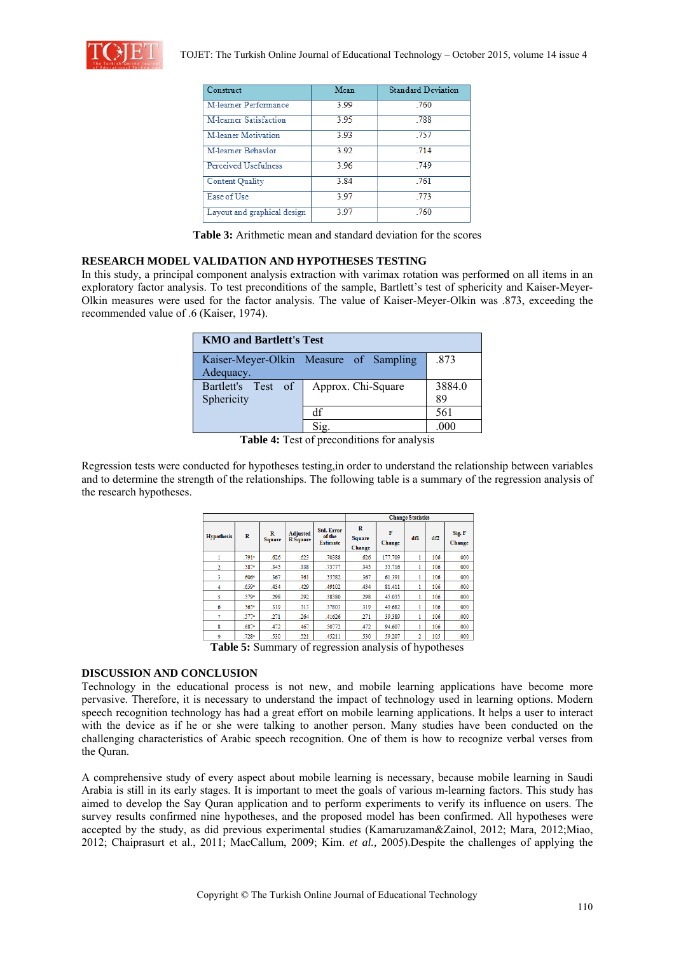

| Construct                   | Mean  | <b>Standard Deviation</b> |
|-----------------------------|-------|---------------------------|
| M-learner Performance       | 3.99  | .760                      |
| M-learner Satisfaction      | 3.95  | .788                      |
| <b>M-leaner Motivation</b>  | 3.93  | .757                      |
| M-learner Behavior          | 3.92  | 714                       |
| <b>Perceived Usefulness</b> | 3.96  | 749                       |
| <b>Content Quality</b>      | 3.84  | .761                      |
| Ease of Use                 | 3 9 7 | .773                      |
| Layout and graphical design | 3.97  | .760                      |

**Table 3:** Arithmetic mean and standard deviation for the scores

## **RESEARCH MODEL VALIDATION AND HYPOTHESES TESTING**

In this study, a principal component analysis extraction with varimax rotation was performed on all items in an exploratory factor analysis. To test preconditions of the sample, Bartlett's test of sphericity and Kaiser-Meyer-Olkin measures were used for the factor analysis. The value of Kaiser-Meyer-Olkin was .873, exceeding the recommended value of .6 (Kaiser, 1974).

| <b>KMO and Bartlett's Test</b>   |                                        |              |  |  |
|----------------------------------|----------------------------------------|--------------|--|--|
| Adequacy.                        | Kaiser-Meyer-Olkin Measure of Sampling | .873         |  |  |
| Bartlett's Test of<br>Sphericity | Approx. Chi-Square                     | 3884.0<br>89 |  |  |
|                                  | df                                     | 561          |  |  |
|                                  |                                        |              |  |  |

**Table 4:** Test of preconditions for analysis

Regression tests were conducted for hypotheses testing,in order to understand the relationship between variables and to determine the strength of the relationships. The following table is a summary of the regression analysis of the research hypotheses.

|                   |                     |             |                                    | <b>Change Statistics</b>                       |                       |             |     |     |                  |
|-------------------|---------------------|-------------|------------------------------------|------------------------------------------------|-----------------------|-------------|-----|-----|------------------|
| <b>Hypothesis</b> | R                   | R<br>Square | <b>Adjusted</b><br><b>R</b> Square | <b>Std. Error</b><br>of the<br><b>Estimate</b> | R<br>Square<br>Change | F<br>Change | dfl | df2 | Sig. F<br>Change |
|                   | .791*               | .626        | .623                               | .70388                                         | .626                  | 177.709     | 1   | 106 | .000             |
| $\overline{2}$    | .587*               | 345         | .338                               | .75777                                         | .345                  | 55.716      | 1   | 106 | .000             |
| 3                 | .606 <sup>a</sup>   | 367         | .361                               | .55582                                         | .367                  | 61.391      | 1   | 106 | .000             |
| 4                 | $.659$ <sup>*</sup> | .434        | .429                               | .49102                                         | .434                  | 81.411      | 1   | 106 | .000             |
| 5                 | .579*               | .298        | .292                               | .38380                                         | .298                  | 45.035      |     | 106 | .000             |
| 6                 | .565*               | .319        | .313                               | .37803                                         | 319                   | 49.682      | 1   | 106 | .000             |
|                   | $.577$ <sup>a</sup> | .271        | .264                               | .41626                                         | .271                  | 39.389      | 1   | 106 | .000             |
| 8                 | .6874               | .472        | .467                               | .50772                                         | .472                  | 94.607      | 1   | 106 | .000             |
| 9                 | $.728 -$            | .530        | .521                               | .45211                                         | .530                  | 59.207      | 2   | 105 | .000             |

**Table 5:** Summary of regression analysis of hypotheses

## **DISCUSSION AND CONCLUSION**

Technology in the educational process is not new, and mobile learning applications have become more pervasive. Therefore, it is necessary to understand the impact of technology used in learning options. Modern speech recognition technology has had a great effort on mobile learning applications. It helps a user to interact with the device as if he or she were talking to another person. Many studies have been conducted on the challenging characteristics of Arabic speech recognition. One of them is how to recognize verbal verses from the Quran.

A comprehensive study of every aspect about mobile learning is necessary, because mobile learning in Saudi Arabia is still in its early stages. It is important to meet the goals of various m-learning factors. This study has aimed to develop the Say Quran application and to perform experiments to verify its influence on users. The survey results confirmed nine hypotheses, and the proposed model has been confirmed. All hypotheses were accepted by the study, as did previous experimental studies (Kamaruzaman&Zainol, 2012; Mara, 2012;Miao, 2012; Chaiprasurt et al., 2011; MacCallum, 2009; Kim. *et al.,* 2005).Despite the challenges of applying the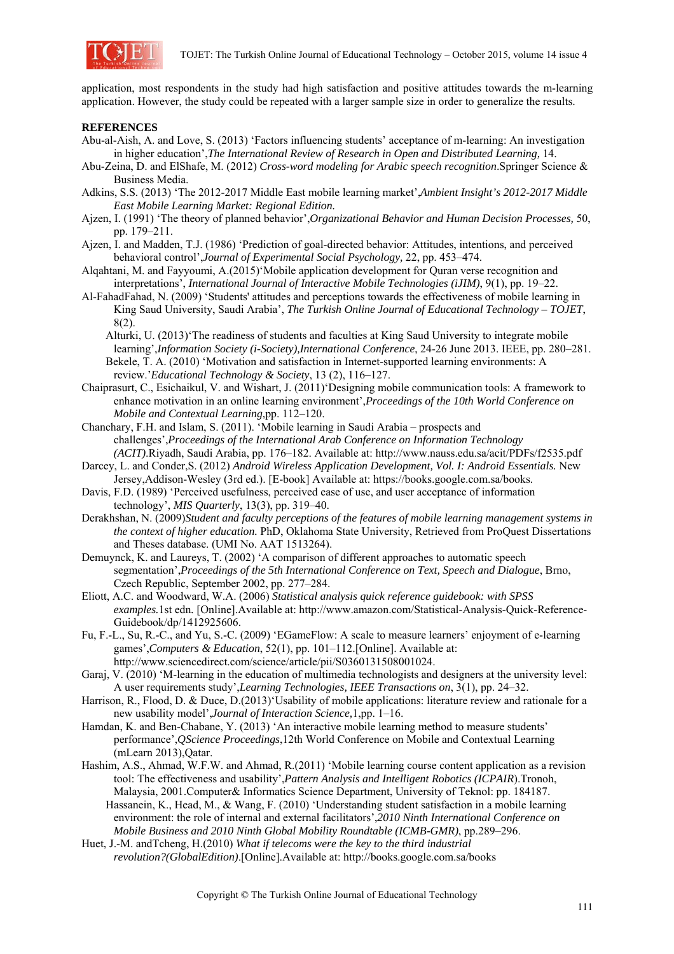

application, most respondents in the study had high satisfaction and positive attitudes towards the m-learning application. However, the study could be repeated with a larger sample size in order to generalize the results.

# **REFERENCES**

- Abu-al-Aish, A. and Love, S. (2013) 'Factors influencing students' acceptance of m-learning: An investigation in higher education',*The International Review of Research in Open and Distributed Learning,* 14.
- Abu-Zeina, D. and ElShafe, M. (2012) *Cross-word modeling for Arabic speech recognition*.Springer Science & Business Media.
- Adkins, S.S. (2013) 'The 2012-2017 Middle East mobile learning market',*Ambient Insight's 2012-2017 Middle East Mobile Learning Market: Regional Edition.*
- Ajzen, I. (1991) 'The theory of planned behavior',*Organizational Behavior and Human Decision Processes,* 50, pp. 179–211.
- Ajzen, I. and Madden, T.J. (1986) 'Prediction of goal-directed behavior: Attitudes, intentions, and perceived behavioral control',*Journal of Experimental Social Psychology,* 22, pp. 453–474.
- Alqahtani, M. and Fayyoumi, A.(2015)'Mobile application development for Quran verse recognition and interpretations', *International Journal of Interactive Mobile Technologies (iJIM)*, 9(1), pp. 19–22.
- Al-FahadFahad, N. (2009) 'Students' attitudes and perceptions towards the effectiveness of mobile learning in King Saud University, Saudi Arabia', *The Turkish Online Journal of Educational Technology – TOJET*, 8(2).
	- Alturki, U. (2013)'The readiness of students and faculties at King Saud University to integrate mobile learning',*Information Society (i-Society),International Conference*, 24-26 June 2013. IEEE, pp. 280–281. Bekele, T. A. (2010) 'Motivation and satisfaction in Internet-supported learning environments: A review.'*Educational Technology & Society*, 13 (2), 116–127.
- Chaiprasurt, C., Esichaikul, V. and Wishart, J. (2011)'Designing mobile communication tools: A framework to enhance motivation in an online learning environment',*Proceedings of the 10th World Conference on Mobile and Contextual Learning*,pp. 112–120.
- Chanchary, F.H. and Islam, S. (2011). 'Mobile learning in Saudi Arabia prospects and challenges',*Proceedings of the International Arab Conference on Information Technology (ACIT)*.Riyadh, Saudi Arabia, pp. 176–182. Available at: http://www.nauss.edu.sa/acit/PDFs/f2535.pdf
- Darcey, L. and Conder,S. (2012) Android Wireless Application Development, Vol. I: Android Essentials. New Jersey,Addison-Wesley (3rd ed.). [E-book] Available at: https://books.google.com.sa/books.
- Davis, F.D. (1989) 'Perceived usefulness, perceived ease of use, and user acceptance of information technology', *MIS Quarterly*, 13(3), pp. 319–40.
- Derakhshan, N. (2009)*Student and faculty perceptions of the features of mobile learning management systems in the context of higher education.* PhD, Oklahoma State University, Retrieved from ProQuest Dissertations and Theses database. (UMI No. AAT 1513264).
- Demuynck, K. and Laureys, T. (2002) 'A comparison of different approaches to automatic speech segmentation',*Proceedings of the 5th International Conference on Text, Speech and Dialogue*, Brno, Czech Republic, September 2002, pp. 277–284.
- Eliott, A.C. and Woodward, W.A. (2006) *Statistical analysis quick reference guidebook: with SPSS examples.*1st edn*.* [Online].Available at: http://www.amazon.com/Statistical-Analysis-Quick-Reference-Guidebook/dp/1412925606.
- Fu, F.-L., Su, R.-C., and Yu, S.-C. (2009) 'EGameFlow: A scale to measure learners' enjoyment of e-learning games',*Computers & Education*, 52(1), pp. 101–112.[Online]. Available at: http://www.sciencedirect.com/science/article/pii/S0360131508001024.
- Garaj, V. (2010) 'M-learning in the education of multimedia technologists and designers at the university level: A user requirements study',*Learning Technologies, IEEE Transactions on*, 3(1), pp. 24–32.
- Harrison, R., Flood, D. & Duce, D.(2013)'Usability of mobile applications: literature review and rationale for a new usability model',*Journal of Interaction Science,*1,pp. 1–16.
- Hamdan, K. and Ben-Chabane, Y. (2013) 'An interactive mobile learning method to measure students' performance',*QScience Proceedings*,12th World Conference on Mobile and Contextual Learning (mLearn 2013),Qatar.
- Hashim, A.S., Ahmad, W.F.W. and Ahmad, R.(2011) 'Mobile learning course content application as a revision tool: The effectiveness and usability',*Pattern Analysis and Intelligent Robotics (ICPAIR*).Tronoh, Malaysia, 2001.Computer& Informatics Science Department, University of Teknol: pp. 184187.
	- Hassanein, K., Head, M., & Wang, F. (2010) 'Understanding student satisfaction in a mobile learning environment: the role of internal and external facilitators',*2010 Ninth International Conference on Mobile Business and 2010 Ninth Global Mobility Roundtable (ICMB-GMR)*, pp.289–296.
- Huet, J.-M. andTcheng, H.(2010) *What if telecoms were the key to the third industrial revolution?(GlobalEdition)*.[Online].Available at: http://books.google.com.sa/books